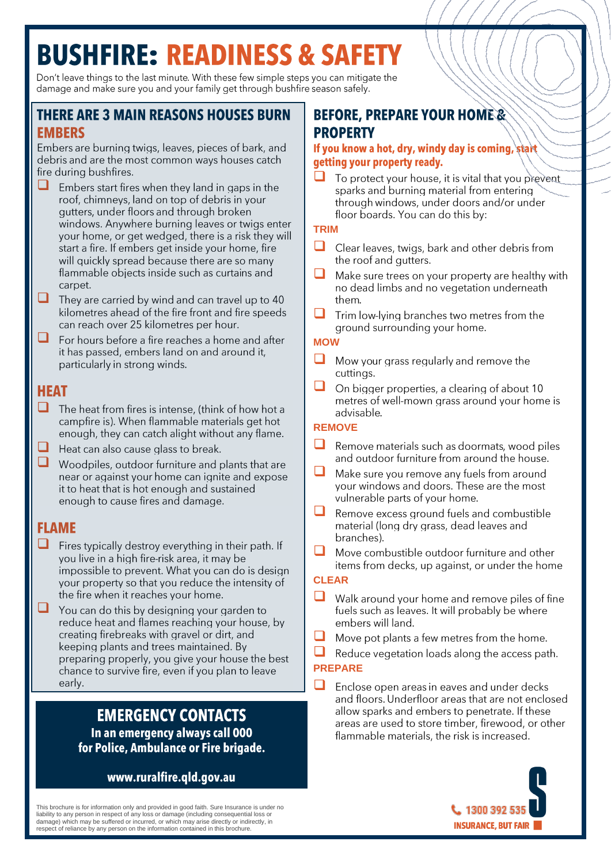# **BUSHFIRE: READINESS & SAFETY**

Don't leave things to the last minute. With these few simple steps you can mitigate the damage and make sure you and your family get through bushfire season safely.

## **THERE ARE 3 MAIN REASONS HOUSES BURN FMRFRS**

Embers are burning twigs, leaves, pieces of bark, and debris and are the most common ways houses catch fire during bushfires.

- ❑ Embers start fires when they land in gaps in the roof, chimneys, land on top of debris in your gutters, under floors and through broken windows. Anywhere burning leaves or twigs enter your home, or get wedged, there is a risk they will start a fire. If embers get inside your home, fire will quickly spread because there are so many flammable objects inside such as curtains and carpet.
- ❑ They are carried by wind and can travel up to 40 kilometres ahead of the fire front and fire speeds can reach over 25 kilometres per hour.
- ❑ For hours before a fire reaches a home and after it has passed, embers land on and around it, particularly in strong winds.

## **HEAT**

- □ The heat from fires is intense, (think of how hot a campfire is). When flammable materials get hot enough, they can catch alight without any flame.
- ❑ Heat can also cause glass to break.
- ❑ Woodpiles, outdoor furniture and plants that are near or against your home can ignite and expose it to heat that is hot enough and sustained enough to cause fires and damage.

## **FLAME**

- Fires typically destroy everything in their path. If vou live in a high fire-risk area, it may be impossible to prevent. What you can do is design your property so that you reduce the intensity of the fire when it reaches your home.
- ❑ You can do this by designing your garden to reduce heat and flames reaching your house, by creating firebreaks with gravel or dirt, and keeping plants and trees maintained. By preparing properly, you give your house the best chance to survive fire, even if you plan to leave early.

## **EMERGENCY CONTACTS** In an emergency always call 000 for Police, Ambulance or Fire brigade.

## www.ruralfire.qld.gov.au

This brochure is for information only and provided in good faith. Sure Insurance is under no liability to any person in respect of any loss or damage (including consequential loss or damage) which may be suffered or incurred, or which may arise directly or indirectly, in respect of reliance by any person on the information contained in this brochure.

# **BEFORE, PREPARE YOUR HOME & PROPERTY**

#### If you know a hot, dry, windy day is coming, start getting your property ready.

❑ To protect your house, it is vital that you prevent sparks and burning material from entering through windows, under doors and/or under floor boards. You can do this by:

#### **TRIM**

- □ Clear leaves, twigs, bark and other debris from the roof and qutters.
- ❑ Make sure trees on your property are healthy with no dead limbs and no vegetation underneath them
- Trim low-lying branches two metres from the ground surrounding your home.

#### **MOW**

- Mow your grass regularly and remove the cuttings.
- ❑ On bigger properties, a clearing of about 10 metres of well-mown grass around your home is advisable

### **REMOVE**

- Remove materials such as doormats, wood piles and outdoor furniture from around the house.
- ❑ Make sure you remove any fuels from around your windows and doors. These are the most vulnerable parts of your home.
- ❑ Remove excess ground fuels and combustible material (long dry grass, dead leaves and branches).
- ❑ Move combustible outdoor furniture and other items from decks, up against, or under the home

#### **CLEAR**

- ❑ Walk around your home and remove piles of fine fuels such as leaves. It will probably be where embers will land.
- ❑ Move pot plants a few metres from the home.
- Reduce vegetation loads along the access path.

#### **PREPARE**

❑Enclose open areas in eaves and under decks and floors. Underfloor areas that are not enclosed allow sparks and embers to penetrate. If these areas are used to store timber, firewood, or other flammable materials, the risk is increased.

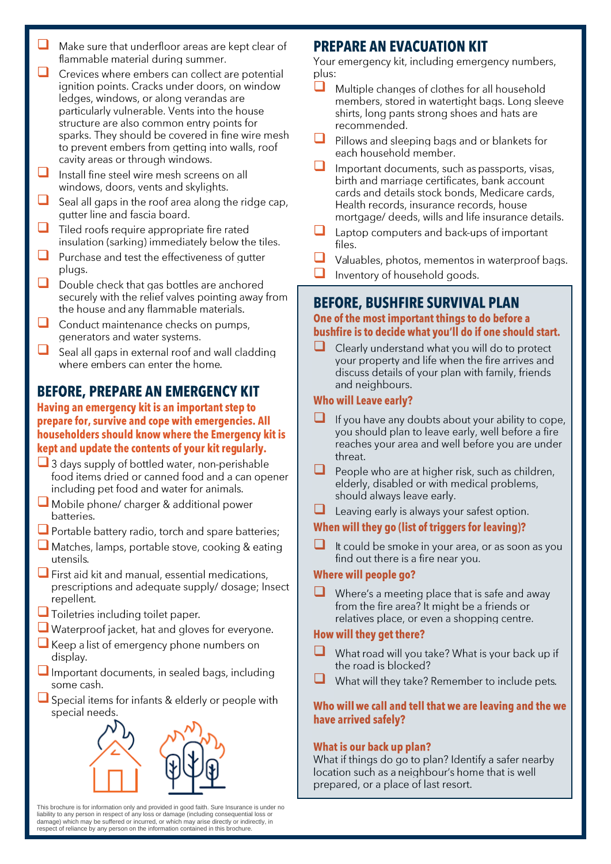- ❑ Make sure that underfloor areas are kept clear of flammable material during summer.
- ❑ Crevices where embers can collect are potential janition points. Cracks under doors, on window ledges, windows, or along verandas are particularly vulnerable. Vents into the house structure are also common entry points for sparks. They should be covered in fine wire mesh to prevent embers from getting into walls, roof cavity areas or through windows.
- ❑ Install fine steel wire mesh screens on all windows, doors, vents and skylights.
- ❑ Seal all gaps in the roof area along the ridge cap, gutter line and fascia board.
- ❑ Tiled roofs require appropriate fire rated insulation (sarking) immediately below the tiles.
- ❑ Purchase and test the effectiveness of gutter plugs.
- □ Double check that gas bottles are anchored securely with the relief valves pointing away from the house and any flammable materials.
- ❑ Conduct maintenance checks on pumps, generators and water systems.
- ❑ Seal all gaps in external roof and wall cladding where embers can enter the home.

# **BEFORE, PREPARE AN EMERGENCY KIT**

#### Having an emergency kit is an important step to prepare for, survive and cope with emergencies. All householders should know where the Emergency kit is kept and update the contents of your kit regularly.

- □ 3 days supply of bottled water, non-perishable food items dried or canned food and a can opener including pet food and water for animals.
- Mobile phone/ charger & additional power batteries.
- Portable battery radio, torch and spare batteries;
- Matches, lamps, portable stove, cooking & eating utensils.
- First aid kit and manual, essential medications, prescriptions and adequate supply/ dosage; Insect repellent.
- □ Toiletries including toilet paper.
- Waterproof jacket, hat and gloves for everyone.
- Keep a list of emergency phone numbers on display.
- Important documents, in sealed bags, including some cash.
- □ Special items for infants & elderly or people with special needs.



This brochure is for information only and provided in good faith. Sure Insurance is under no liability to any person in respect of any loss or damage (including consequential loss or damage) which may be suffered or incurred, or which may arise directly or indirectly, in respect of reliance by any person on the information contained in this brochure.

## **PREPARE AN EVACUATION KIT**

Your emergency kit, including emergency numbers, plus:

- ❑ Multiple changes of clothes for all household members, stored in watertight bags. Long sleeve shirts, long pants strong shoes and hats are recommended.
- □ Pillows and sleeping bags and or blankets for each household member.
- ❑ Important documents, such as passports, visas, birth and marriage certificates, bank account cards and details stock bonds, Medicare cards, Health records, insurance records, house mortgage/ deeds, wills and life insurance details.
- ❑ Laptop computers and back-ups of important files.
- ❑ Valuables, photos, mementos in waterproof bags.
- ❑ Inventory of household goods.

# **BEFORE, BUSHFIRE SURVIVAL PLAN**

#### One of the most important things to do before a bushfire is to decide what you'll do if one should start.

❑ Clearly understand what you will do to protect your property and life when the fire arrives and discuss details of your plan with family, friends and neighbours.

#### **Who will Leave early?**

- ❑ If you have any doubts about your ability to cope, you should plan to leave early, well before a fire reaches your area and well before you are under threat.
- ❑ People who are at higher risk, such as children, elderly, disabled or with medical problems, should always leave early.
- Leaving early is always your safest option.

## When will they go (list of triggers for leaving)?

❑ It could be smoke in your area, or as soon as you find out there is a fire near you.

#### **Where will people go?**

Where's a meeting place that is safe and away from the fire area? It might be a friends or relatives place, or even a shopping centre.

## How will they get there?

- What road will you take? What is your back up if the road is blocked?
- ❑What will they take? Remember to include pets.

#### Who will we call and tell that we are leaving and the we have arrived safely?

#### What is our back up plan?

What if things do go to plan? Identify a safer nearby location such as a neighbour's home that is well prepared, or a place of last resort.